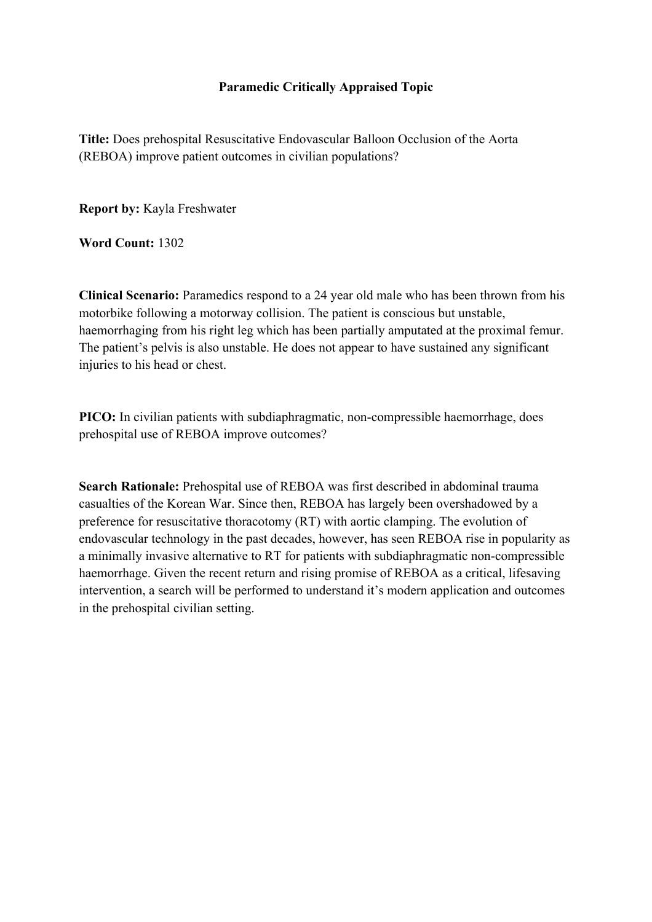## **Paramedic Critically Appraised Topic**

**Title:** Does prehospital Resuscitative Endovascular Balloon Occlusion of the Aorta (REBOA) improve patient outcomes in civilian populations?

**Report by:** Kayla Freshwater

**Word Count:** 1302

**Clinical Scenario:** Paramedics respond to a 24 year old male who has been thrown from his motorbike following a motorway collision. The patient is conscious but unstable, haemorrhaging from his right leg which has been partially amputated at the proximal femur. The patient's pelvis is also unstable. He does not appear to have sustained any significant injuries to his head or chest.

**PICO:** In civilian patients with subdiaphragmatic, non-compressible haemorrhage, does prehospital use of REBOA improve outcomes?

**Search Rationale:** Prehospital use of REBOA was first described in abdominal trauma casualties of the Korean War. Since then, REBOA has largely been overshadowed by a preference for resuscitative thoracotomy (RT) with aortic clamping. The evolution of endovascular technology in the past decades, however, has seen REBOA rise in popularity as a minimally invasive alternative to RT for patients with subdiaphragmatic non-compressible haemorrhage. Given the recent return and rising promise of REBOA as a critical, lifesaving intervention, a search will be performed to understand it's modern application and outcomes in the prehospital civilian setting.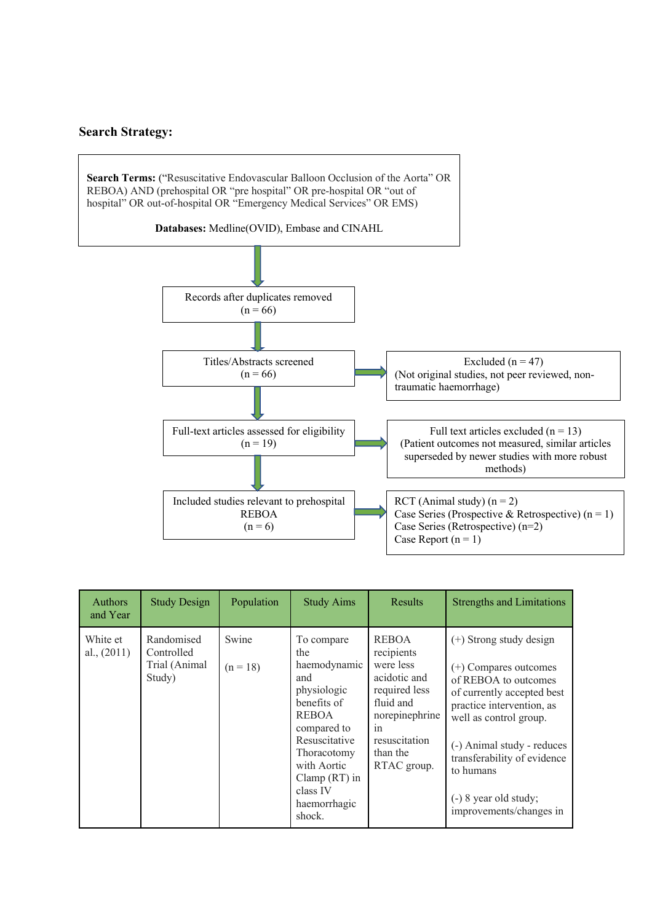## **Search Strategy:**



| <b>Authors</b><br>and Year | <b>Study Design</b>                                 | Population          | <b>Study Aims</b>                                                                                                                                                                                             | Results                                                                                                                                                   | <b>Strengths and Limitations</b>                                                                                                                                                                                                                                                                  |
|----------------------------|-----------------------------------------------------|---------------------|---------------------------------------------------------------------------------------------------------------------------------------------------------------------------------------------------------------|-----------------------------------------------------------------------------------------------------------------------------------------------------------|---------------------------------------------------------------------------------------------------------------------------------------------------------------------------------------------------------------------------------------------------------------------------------------------------|
| White et<br>al., $(2011)$  | Randomised<br>Controlled<br>Trial (Animal<br>Study) | Swine<br>$(n = 18)$ | To compare<br>the<br>haemodynamic<br>and<br>physiologic<br>benefits of<br><b>REBOA</b><br>compared to<br>Resuscitative<br>Thoracotomy<br>with Aortic<br>Clamp $(RT)$ in<br>class IV<br>haemorrhagic<br>shock. | <b>REBOA</b><br>recipients<br>were less<br>acidotic and<br>required less<br>fluid and<br>norepinephrine<br>1n<br>resuscitation<br>than the<br>RTAC group. | $(+)$ Strong study design<br>$(+)$ Compares outcomes<br>of REBOA to outcomes<br>of currently accepted best<br>practice intervention, as<br>well as control group.<br>(-) Animal study - reduces<br>transferability of evidence<br>to humans<br>$(-)$ 8 year old study;<br>improvements/changes in |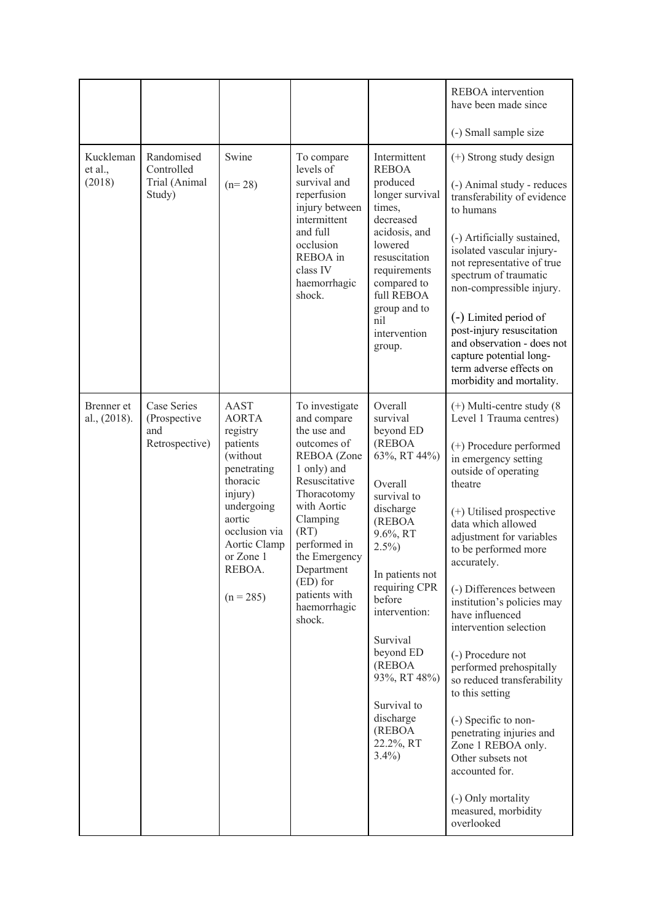|                                |                                                      |                                                                                                                                                                                                      |                                                                                                                                                                                                                                                                      |                                                                                                                                                                                                                                                                                                                    | REBOA intervention<br>have been made since<br>(-) Small sample size                                                                                                                                                                                                                                                                                                                                                                                                                                                                                                                                                                                     |
|--------------------------------|------------------------------------------------------|------------------------------------------------------------------------------------------------------------------------------------------------------------------------------------------------------|----------------------------------------------------------------------------------------------------------------------------------------------------------------------------------------------------------------------------------------------------------------------|--------------------------------------------------------------------------------------------------------------------------------------------------------------------------------------------------------------------------------------------------------------------------------------------------------------------|---------------------------------------------------------------------------------------------------------------------------------------------------------------------------------------------------------------------------------------------------------------------------------------------------------------------------------------------------------------------------------------------------------------------------------------------------------------------------------------------------------------------------------------------------------------------------------------------------------------------------------------------------------|
| Kuckleman<br>et al.,<br>(2018) | Randomised<br>Controlled<br>Trial (Animal<br>Study)  | Swine<br>$(n=28)$                                                                                                                                                                                    | To compare<br>levels of<br>survival and<br>reperfusion<br>injury between<br>intermittent<br>and full<br>occlusion<br>REBOA in<br>class IV<br>haemorrhagic<br>shock.                                                                                                  | Intermittent<br><b>REBOA</b><br>produced<br>longer survival<br>times,<br>decreased<br>acidosis, and<br>lowered<br>resuscitation<br>requirements<br>compared to<br>full REBOA<br>group and to<br>nil<br>intervention<br>group.                                                                                      | (+) Strong study design<br>(-) Animal study - reduces<br>transferability of evidence<br>to humans<br>(-) Artificially sustained,<br>isolated vascular injury-<br>not representative of true<br>spectrum of traumatic<br>non-compressible injury.<br>(-) Limited period of<br>post-injury resuscitation<br>and observation - does not<br>capture potential long-<br>term adverse effects on<br>morbidity and mortality.                                                                                                                                                                                                                                  |
| Brenner et<br>al., (2018).     | Case Series<br>(Prospective<br>and<br>Retrospective) | <b>AAST</b><br><b>AORTA</b><br>registry<br>patients<br>(without<br>penetrating<br>thoracic<br>injury)<br>undergoing<br>aortic<br>occlusion via<br>Aortic Clamp<br>or Zone 1<br>REBOA.<br>$(n = 285)$ | To investigate<br>and compare<br>the use and<br>outcomes of<br>REBOA (Zone<br>1 only) and<br>Resuscitative<br>Thoracotomy<br>with Aortic<br>Clamping<br>(RT)<br>performed in<br>the Emergency<br>Department<br>$(ED)$ for<br>patients with<br>haemorrhagic<br>shock. | Overall<br>survival<br>beyond ED<br>(REBOA<br>63%, RT 44%)<br>Overall<br>survival to<br>discharge<br>(REBOA<br>9.6%, RT<br>$2.5\%$<br>In patients not<br>requiring CPR<br>before<br>intervention:<br>Survival<br>beyond ED<br>(REBOA<br>93%, RT 48%)<br>Survival to<br>discharge<br>(REBOA<br>22.2%, RT<br>$3.4\%$ | $(+)$ Multi-centre study $(8)$<br>Level 1 Trauma centres)<br>(+) Procedure performed<br>in emergency setting<br>outside of operating<br>theatre<br>(+) Utilised prospective<br>data which allowed<br>adjustment for variables<br>to be performed more<br>accurately.<br>(-) Differences between<br>institution's policies may<br>have influenced<br>intervention selection<br>(-) Procedure not<br>performed prehospitally<br>so reduced transferability<br>to this setting<br>(-) Specific to non-<br>penetrating injuries and<br>Zone 1 REBOA only.<br>Other subsets not<br>accounted for.<br>(-) Only mortality<br>measured, morbidity<br>overlooked |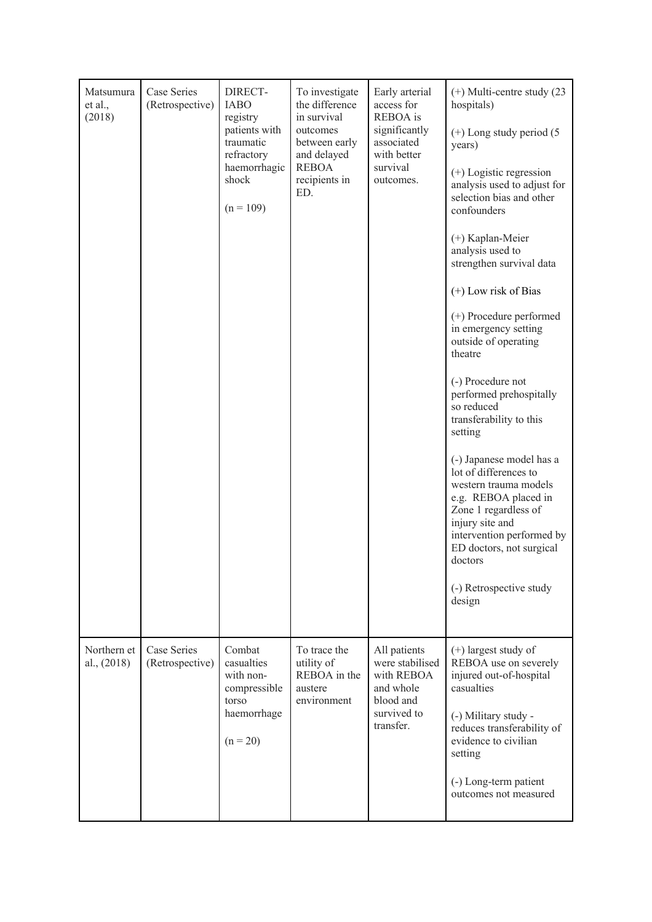| Matsumura<br>et al.,<br>(2018) | Case Series<br>(Retrospective) | DIRECT-<br><b>IABO</b><br>registry<br>patients with<br>traumatic<br>refractory<br>haemorrhagic<br>shock<br>$(n = 109)$ | To investigate<br>the difference<br>in survival<br>outcomes<br>between early<br>and delayed<br><b>REBOA</b><br>recipients in<br>ED. | Early arterial<br>access for<br>REBOA is<br>significantly<br>associated<br>with better<br>survival<br>outcomes. | $(+)$ Multi-centre study (23)<br>hospitals)<br>$(+)$ Long study period $(5)$<br>years)<br>$(+)$ Logistic regression<br>analysis used to adjust for<br>selection bias and other<br>confounders<br>(+) Kaplan-Meier<br>analysis used to<br>strengthen survival data<br>$(+)$ Low risk of Bias<br>(+) Procedure performed<br>in emergency setting<br>outside of operating<br>theatre<br>(-) Procedure not<br>performed prehospitally<br>so reduced<br>transferability to this<br>setting<br>(-) Japanese model has a<br>lot of differences to<br>western trauma models<br>e.g. REBOA placed in<br>Zone 1 regardless of<br>injury site and<br>intervention performed by<br>ED doctors, not surgical<br>doctors<br>(-) Retrospective study<br>design |
|--------------------------------|--------------------------------|------------------------------------------------------------------------------------------------------------------------|-------------------------------------------------------------------------------------------------------------------------------------|-----------------------------------------------------------------------------------------------------------------|-------------------------------------------------------------------------------------------------------------------------------------------------------------------------------------------------------------------------------------------------------------------------------------------------------------------------------------------------------------------------------------------------------------------------------------------------------------------------------------------------------------------------------------------------------------------------------------------------------------------------------------------------------------------------------------------------------------------------------------------------|
| Northern et<br>al., $(2018)$   | Case Series<br>(Retrospective) | Combat<br>casualties<br>with non-<br>compressible<br>torso<br>haemorrhage<br>$(n = 20)$                                | To trace the<br>utility of<br>REBOA in the<br>austere<br>environment                                                                | All patients<br>were stabilised<br>with REBOA<br>and whole<br>blood and<br>survived to<br>transfer.             | $(+)$ largest study of<br>REBOA use on severely<br>injured out-of-hospital<br>casualties<br>(-) Military study -<br>reduces transferability of<br>evidence to civilian<br>setting<br>(-) Long-term patient<br>outcomes not measured                                                                                                                                                                                                                                                                                                                                                                                                                                                                                                             |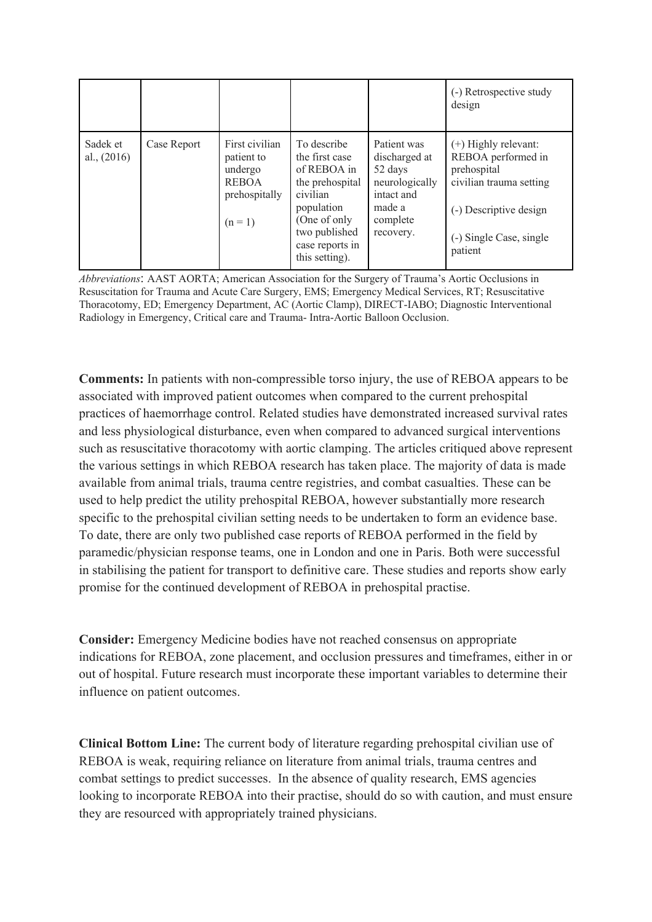|                           |             |                                                                                     |                                                                                                                                                                 |                                                                                                            | (-) Retrospective study<br>design                                                                                                                    |
|---------------------------|-------------|-------------------------------------------------------------------------------------|-----------------------------------------------------------------------------------------------------------------------------------------------------------------|------------------------------------------------------------------------------------------------------------|------------------------------------------------------------------------------------------------------------------------------------------------------|
| Sadek et<br>al., $(2016)$ | Case Report | First civilian<br>patient to<br>undergo<br><b>REBOA</b><br>prehospitally<br>$(n=1)$ | To describe<br>the first case<br>of REBOA in<br>the prehospital<br>civilian<br>population<br>(One of only<br>two published<br>case reports in<br>this setting). | Patient was<br>discharged at<br>52 days<br>neurologically<br>intact and<br>made a<br>complete<br>recovery. | (+) Highly relevant:<br>REBOA performed in<br>prehospital<br>civilian trauma setting<br>(-) Descriptive design<br>(-) Single Case, single<br>patient |

*Abbreviations*: AAST AORTA; American Association for the Surgery of Trauma's Aortic Occlusions in Resuscitation for Trauma and Acute Care Surgery, EMS; Emergency Medical Services, RT; Resuscitative Thoracotomy, ED; Emergency Department, AC (Aortic Clamp), DIRECT-IABO; Diagnostic Interventional Radiology in Emergency, Critical care and Trauma- Intra-Aortic Balloon Occlusion.

**Comments:** In patients with non-compressible torso injury, the use of REBOA appears to be associated with improved patient outcomes when compared to the current prehospital practices of haemorrhage control. Related studies have demonstrated increased survival rates and less physiological disturbance, even when compared to advanced surgical interventions such as resuscitative thoracotomy with aortic clamping. The articles critiqued above represent the various settings in which REBOA research has taken place. The majority of data is made available from animal trials, trauma centre registries, and combat casualties. These can be used to help predict the utility prehospital REBOA, however substantially more research specific to the prehospital civilian setting needs to be undertaken to form an evidence base. To date, there are only two published case reports of REBOA performed in the field by paramedic/physician response teams, one in London and one in Paris. Both were successful in stabilising the patient for transport to definitive care. These studies and reports show early promise for the continued development of REBOA in prehospital practise.

**Consider:** Emergency Medicine bodies have not reached consensus on appropriate indications for REBOA, zone placement, and occlusion pressures and timeframes, either in or out of hospital. Future research must incorporate these important variables to determine their influence on patient outcomes.

**Clinical Bottom Line:** The current body of literature regarding prehospital civilian use of REBOA is weak, requiring reliance on literature from animal trials, trauma centres and combat settings to predict successes. In the absence of quality research, EMS agencies looking to incorporate REBOA into their practise, should do so with caution, and must ensure they are resourced with appropriately trained physicians.